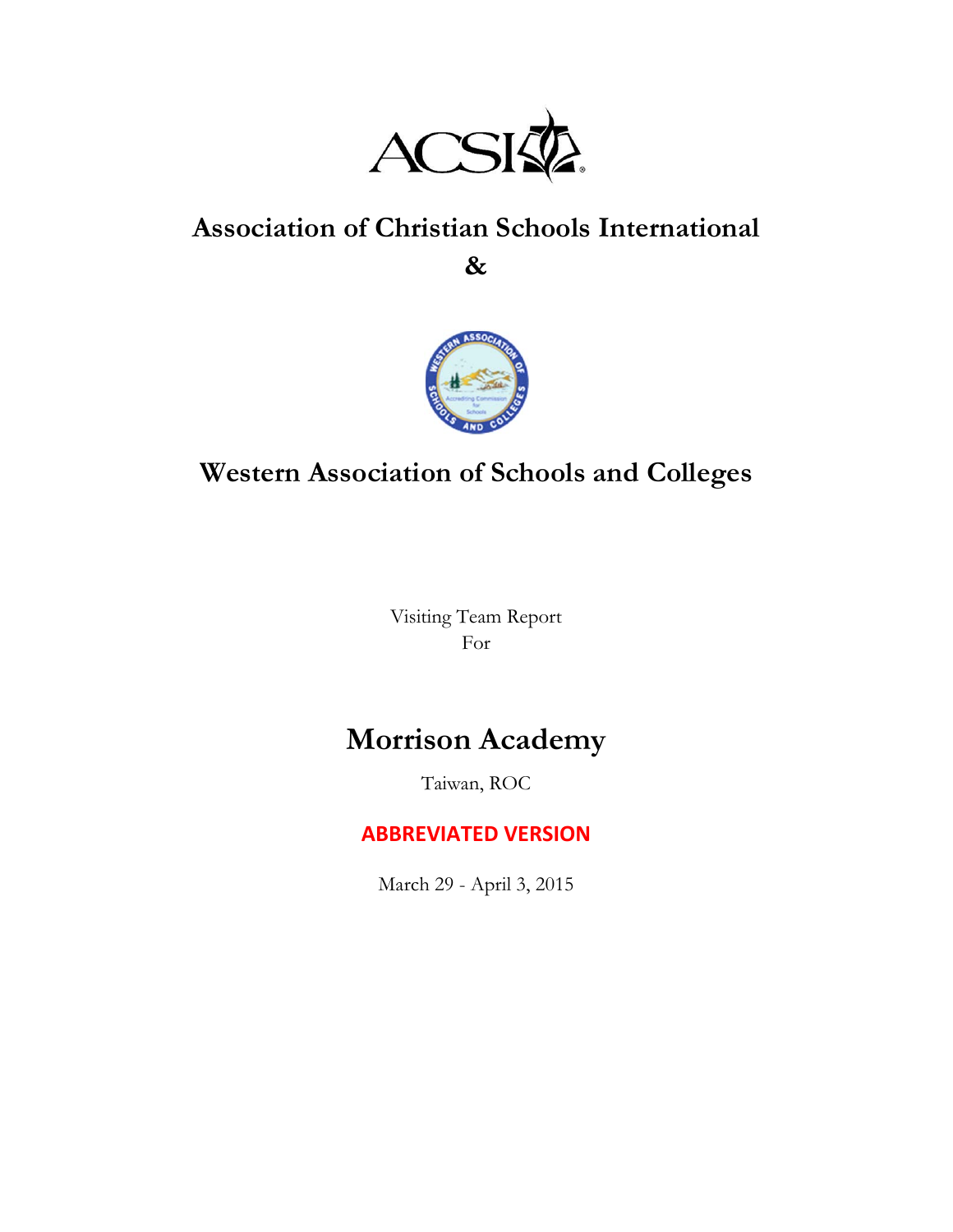

# **Association of Christian Schools International**

**&**



# **Western Association of Schools and Colleges**

Visiting Team Report For

# **Morrison Academy**

Taiwan, ROC

# **ABBREVIATED VERSION**

March 29 - April 3, 2015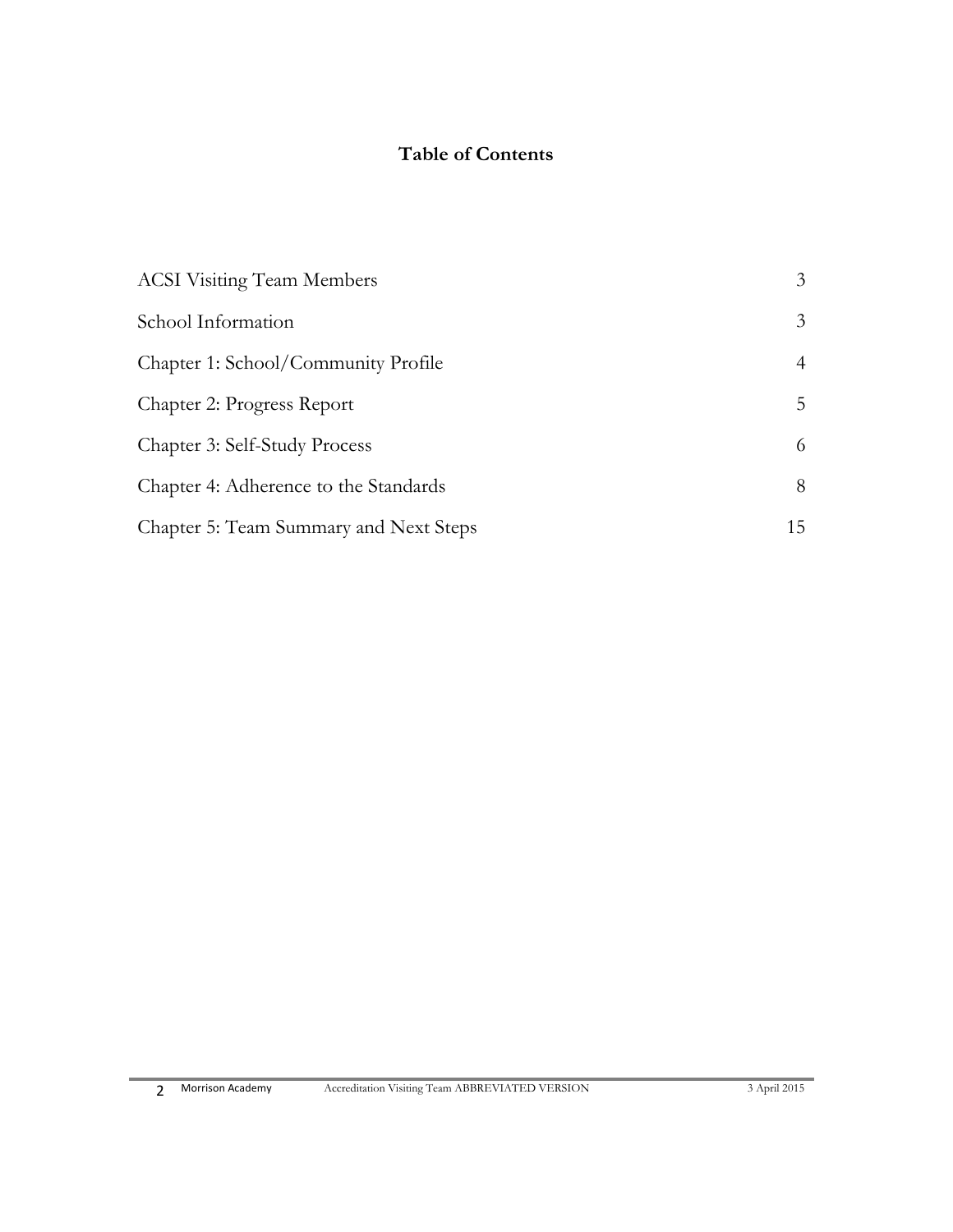# **Table of Contents**

| <b>ACSI Visiting Team Members</b>      | 3  |
|----------------------------------------|----|
| School Information                     | 3  |
| Chapter 1: School/Community Profile    | 4  |
| Chapter 2: Progress Report             | 5  |
| Chapter 3: Self-Study Process          | 6  |
| Chapter 4: Adherence to the Standards  | 8  |
| Chapter 5: Team Summary and Next Steps | 15 |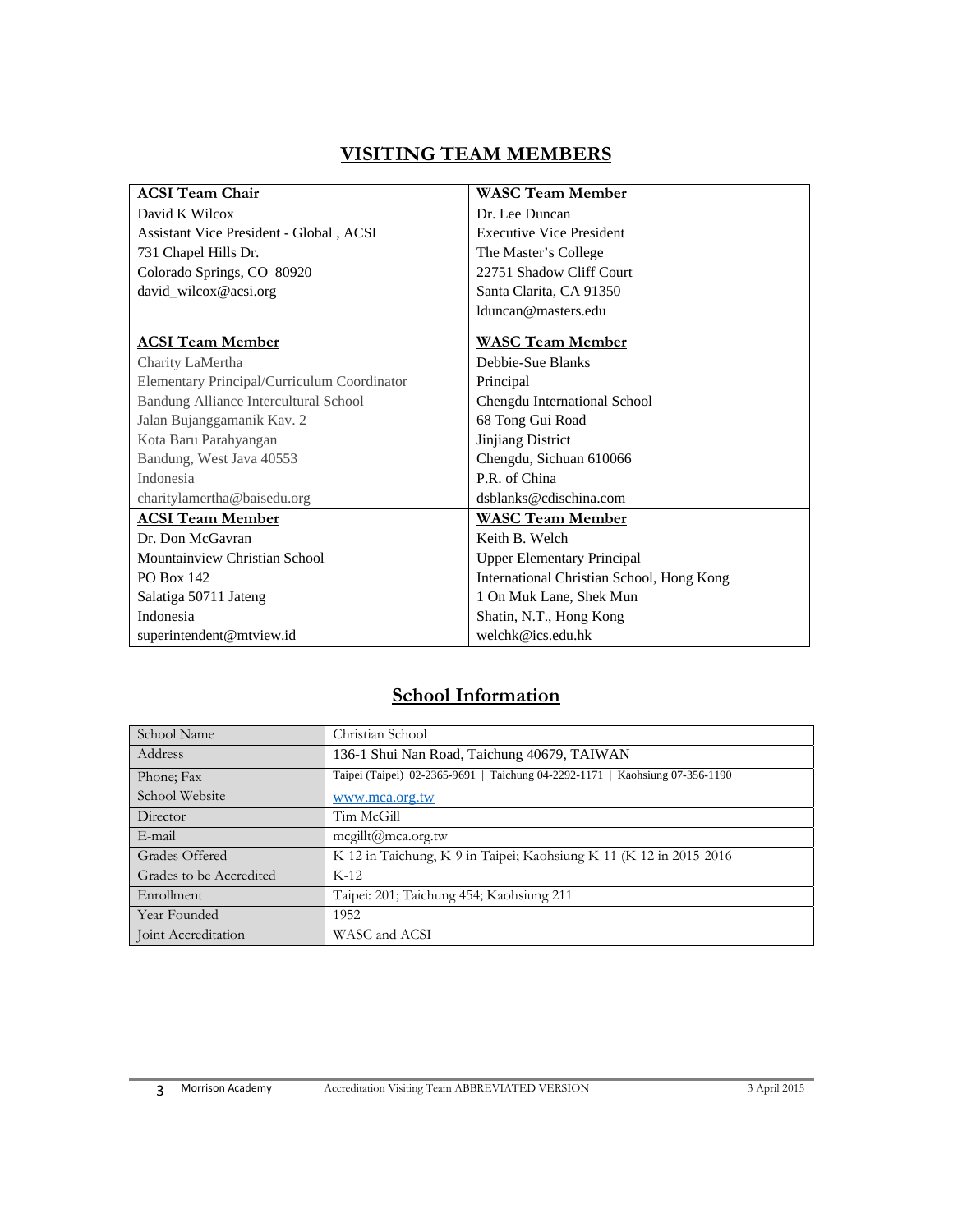### **VISITING TEAM MEMBERS**

| <b>ACSI Team Chair</b>                      | <b>WASC Team Member</b>                   |  |  |
|---------------------------------------------|-------------------------------------------|--|--|
| David K Wilcox                              | Dr. Lee Duncan                            |  |  |
| Assistant Vice President - Global, ACSI     | <b>Executive Vice President</b>           |  |  |
| 731 Chapel Hills Dr.                        | The Master's College                      |  |  |
| Colorado Springs, CO 80920                  | 22751 Shadow Cliff Court                  |  |  |
| david_wilcox@acsi.org                       | Santa Clarita, CA 91350                   |  |  |
|                                             | lduncan@masters.edu                       |  |  |
| <b>ACSI Team Member</b>                     | <b>WASC Team Member</b>                   |  |  |
| Charity LaMertha                            | Debbie-Sue Blanks                         |  |  |
| Elementary Principal/Curriculum Coordinator | Principal                                 |  |  |
| Bandung Alliance Intercultural School       | Chengdu International School              |  |  |
| Jalan Bujanggamanik Kav. 2                  | 68 Tong Gui Road                          |  |  |
| Kota Baru Parahyangan                       | Jinjiang District                         |  |  |
| Bandung, West Java 40553                    | Chengdu, Sichuan 610066                   |  |  |
| Indonesia                                   | P.R. of China                             |  |  |
| charitylamertha@baisedu.org                 | dsblanks@cdischina.com                    |  |  |
| <b>ACSI Team Member</b>                     | <b>WASC Team Member</b>                   |  |  |
| Dr. Don McGavran                            | Keith B. Welch                            |  |  |
| Mountainview Christian School               | <b>Upper Elementary Principal</b>         |  |  |
| <b>PO Box 142</b>                           | International Christian School, Hong Kong |  |  |
| Salatiga 50711 Jateng                       | 1 On Muk Lane, Shek Mun                   |  |  |
| Indonesia                                   | Shatin, N.T., Hong Kong                   |  |  |
| superintendent@mtview.id                    | welchk@ics.edu.hk                         |  |  |

# **School Information**

| School Name             | Christian School                                                             |  |  |
|-------------------------|------------------------------------------------------------------------------|--|--|
| Address                 | 136-1 Shui Nan Road, Taichung 40679, TAIWAN                                  |  |  |
| Phone; Fax              | Taipei (Taipei) 02-2365-9691   Taichung 04-2292-1171   Kaohsiung 07-356-1190 |  |  |
| School Website          | www.mca.org.tw                                                               |  |  |
| Director                | Tim McGill                                                                   |  |  |
| E-mail                  | $mequilt(\omega)$ mca.org.tw                                                 |  |  |
| Grades Offered          | K-12 in Taichung, K-9 in Taipei; Kaohsiung K-11 (K-12 in 2015-2016)          |  |  |
| Grades to be Accredited | $K-12$                                                                       |  |  |
| Enrollment              | Taipei: 201; Taichung 454; Kaohsiung 211                                     |  |  |
| Year Founded            | 1952                                                                         |  |  |
| Joint Accreditation     | WASC and ACSI                                                                |  |  |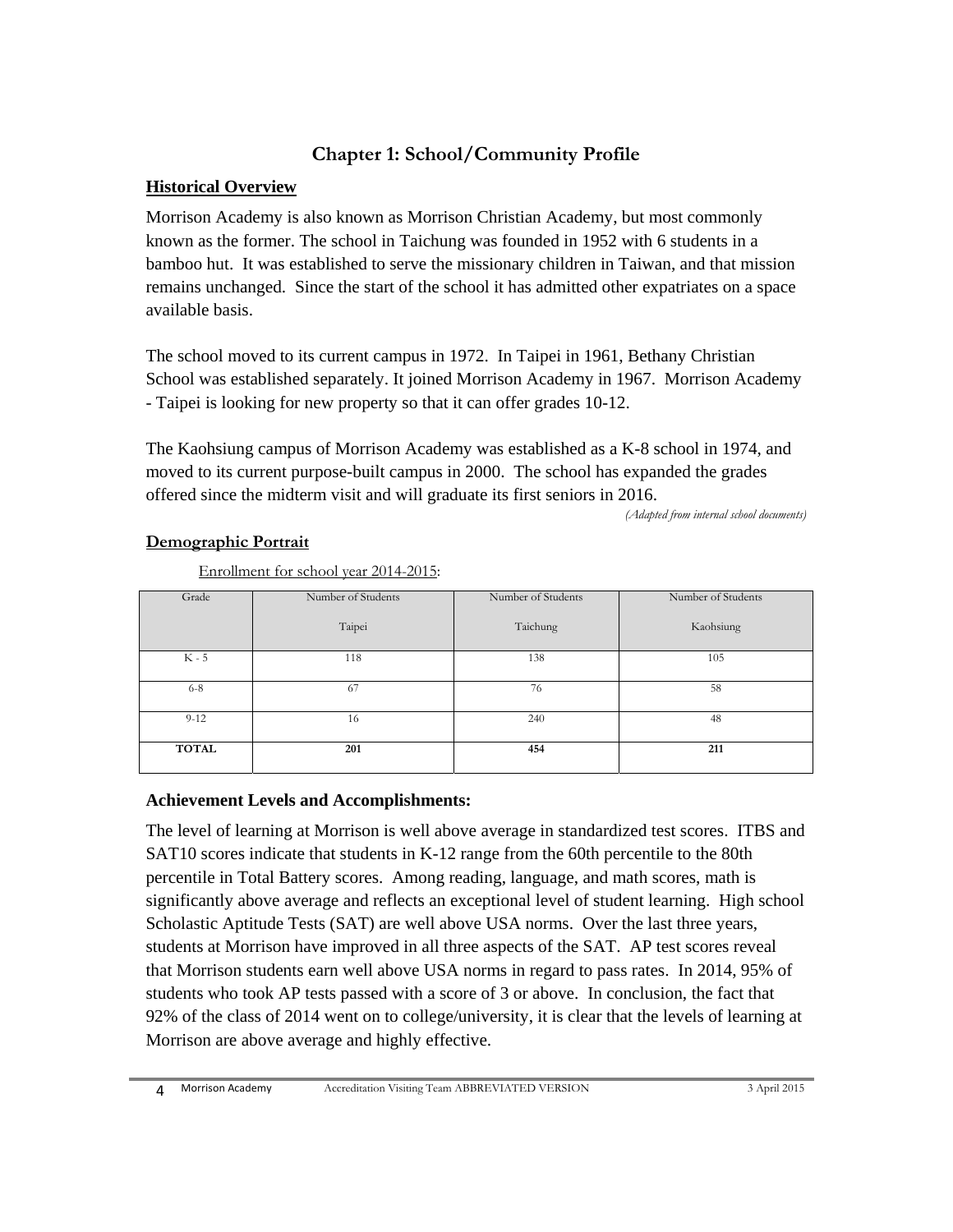## **Chapter 1: School/Community Profile**

#### **Historical Overview**

Morrison Academy is also known as Morrison Christian Academy, but most commonly known as the former. The school in Taichung was founded in 1952 with 6 students in a bamboo hut. It was established to serve the missionary children in Taiwan, and that mission remains unchanged. Since the start of the school it has admitted other expatriates on a space available basis.

The school moved to its current campus in 1972. In Taipei in 1961, Bethany Christian School was established separately. It joined Morrison Academy in 1967. Morrison Academy - Taipei is looking for new property so that it can offer grades 10-12.

The Kaohsiung campus of Morrison Academy was established as a K-8 school in 1974, and moved to its current purpose-built campus in 2000. The school has expanded the grades offered since the midterm visit and will graduate its first seniors in 2016.

*(Adapted from internal school documents)*

#### **Demographic Portrait**

Enrollment for school year 2014-2015:

| Grade        | Number of Students | Number of Students | Number of Students |
|--------------|--------------------|--------------------|--------------------|
|              | Taipei             | Taichung           | Kaohsiung          |
| $K - 5$      | 118                | 138                | 105                |
| $6 - 8$      | 67                 | 76                 | 58                 |
|              |                    |                    |                    |
| $9 - 12$     | 16                 | 240                | 48                 |
|              |                    |                    |                    |
| <b>TOTAL</b> | 201                | 454                | 211                |
|              |                    |                    |                    |

#### **Achievement Levels and Accomplishments:**

The level of learning at Morrison is well above average in standardized test scores. ITBS and SAT10 scores indicate that students in K-12 range from the 60th percentile to the 80th percentile in Total Battery scores. Among reading, language, and math scores, math is significantly above average and reflects an exceptional level of student learning. High school Scholastic Aptitude Tests (SAT) are well above USA norms. Over the last three years, students at Morrison have improved in all three aspects of the SAT. AP test scores reveal that Morrison students earn well above USA norms in regard to pass rates. In 2014, 95% of students who took AP tests passed with a score of 3 or above. In conclusion, the fact that 92% of the class of 2014 went on to college/university, it is clear that the levels of learning at Morrison are above average and highly effective.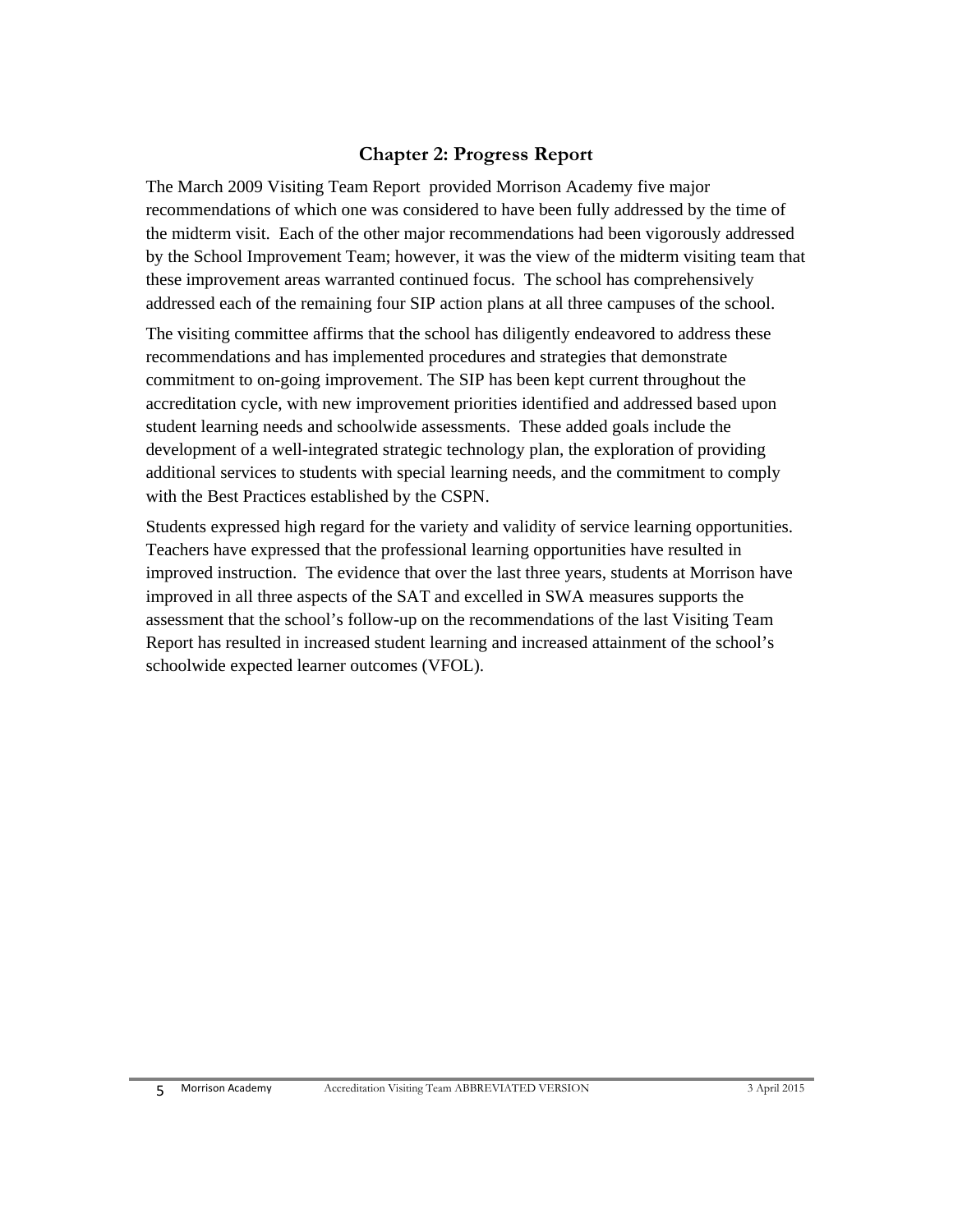#### **Chapter 2: Progress Report**

The March 2009 Visiting Team Report provided Morrison Academy five major recommendations of which one was considered to have been fully addressed by the time of the midterm visit. Each of the other major recommendations had been vigorously addressed by the School Improvement Team; however, it was the view of the midterm visiting team that these improvement areas warranted continued focus. The school has comprehensively addressed each of the remaining four SIP action plans at all three campuses of the school.

The visiting committee affirms that the school has diligently endeavored to address these recommendations and has implemented procedures and strategies that demonstrate commitment to on-going improvement. The SIP has been kept current throughout the accreditation cycle, with new improvement priorities identified and addressed based upon student learning needs and schoolwide assessments. These added goals include the development of a well-integrated strategic technology plan, the exploration of providing additional services to students with special learning needs, and the commitment to comply with the Best Practices established by the CSPN.

Students expressed high regard for the variety and validity of service learning opportunities. Teachers have expressed that the professional learning opportunities have resulted in improved instruction. The evidence that over the last three years, students at Morrison have improved in all three aspects of the SAT and excelled in SWA measures supports the assessment that the school's follow-up on the recommendations of the last Visiting Team Report has resulted in increased student learning and increased attainment of the school's schoolwide expected learner outcomes (VFOL).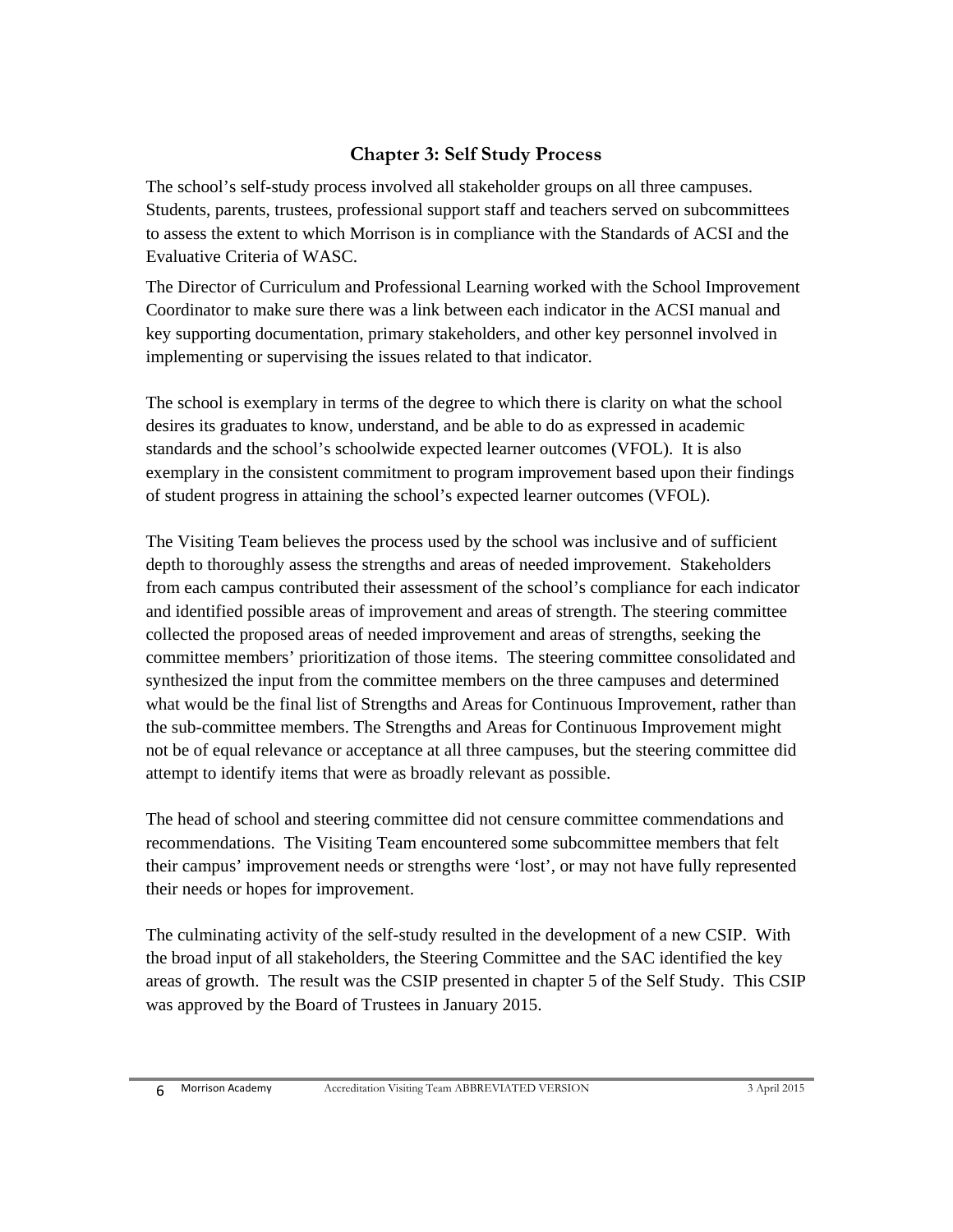#### **Chapter 3: Self Study Process**

The school's self-study process involved all stakeholder groups on all three campuses. Students, parents, trustees, professional support staff and teachers served on subcommittees to assess the extent to which Morrison is in compliance with the Standards of ACSI and the Evaluative Criteria of WASC.

The Director of Curriculum and Professional Learning worked with the School Improvement Coordinator to make sure there was a link between each indicator in the ACSI manual and key supporting documentation, primary stakeholders, and other key personnel involved in implementing or supervising the issues related to that indicator.

The school is exemplary in terms of the degree to which there is clarity on what the school desires its graduates to know, understand, and be able to do as expressed in academic standards and the school's schoolwide expected learner outcomes (VFOL). It is also exemplary in the consistent commitment to program improvement based upon their findings of student progress in attaining the school's expected learner outcomes (VFOL).

The Visiting Team believes the process used by the school was inclusive and of sufficient depth to thoroughly assess the strengths and areas of needed improvement. Stakeholders from each campus contributed their assessment of the school's compliance for each indicator and identified possible areas of improvement and areas of strength. The steering committee collected the proposed areas of needed improvement and areas of strengths, seeking the committee members' prioritization of those items. The steering committee consolidated and synthesized the input from the committee members on the three campuses and determined what would be the final list of Strengths and Areas for Continuous Improvement, rather than the sub-committee members. The Strengths and Areas for Continuous Improvement might not be of equal relevance or acceptance at all three campuses, but the steering committee did attempt to identify items that were as broadly relevant as possible.

The head of school and steering committee did not censure committee commendations and recommendations. The Visiting Team encountered some subcommittee members that felt their campus' improvement needs or strengths were 'lost', or may not have fully represented their needs or hopes for improvement.

The culminating activity of the self-study resulted in the development of a new CSIP. With the broad input of all stakeholders, the Steering Committee and the SAC identified the key areas of growth. The result was the CSIP presented in chapter 5 of the Self Study. This CSIP was approved by the Board of Trustees in January 2015.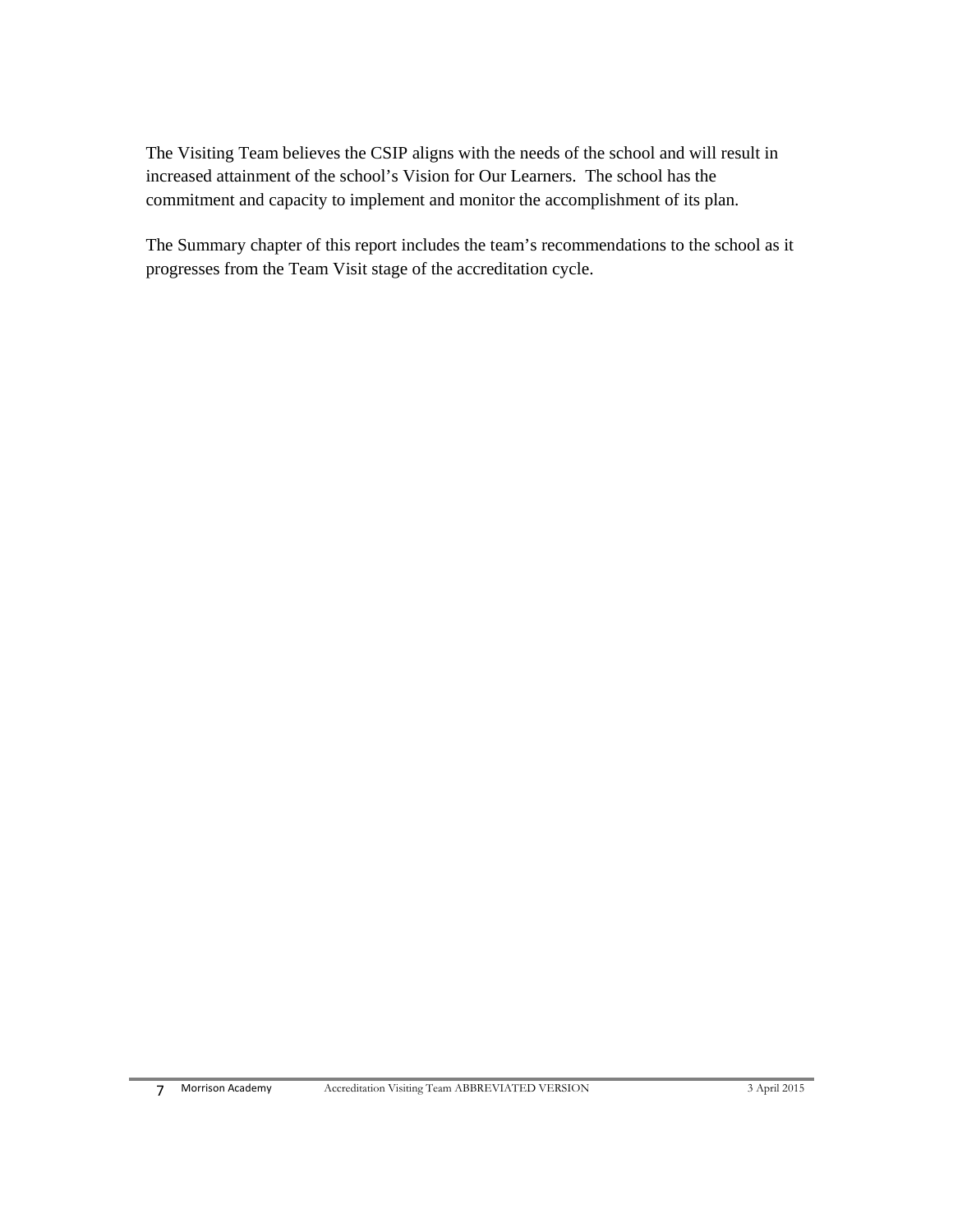The Visiting Team believes the CSIP aligns with the needs of the school and will result in increased attainment of the school's Vision for Our Learners. The school has the commitment and capacity to implement and monitor the accomplishment of its plan.

The Summary chapter of this report includes the team's recommendations to the school as it progresses from the Team Visit stage of the accreditation cycle.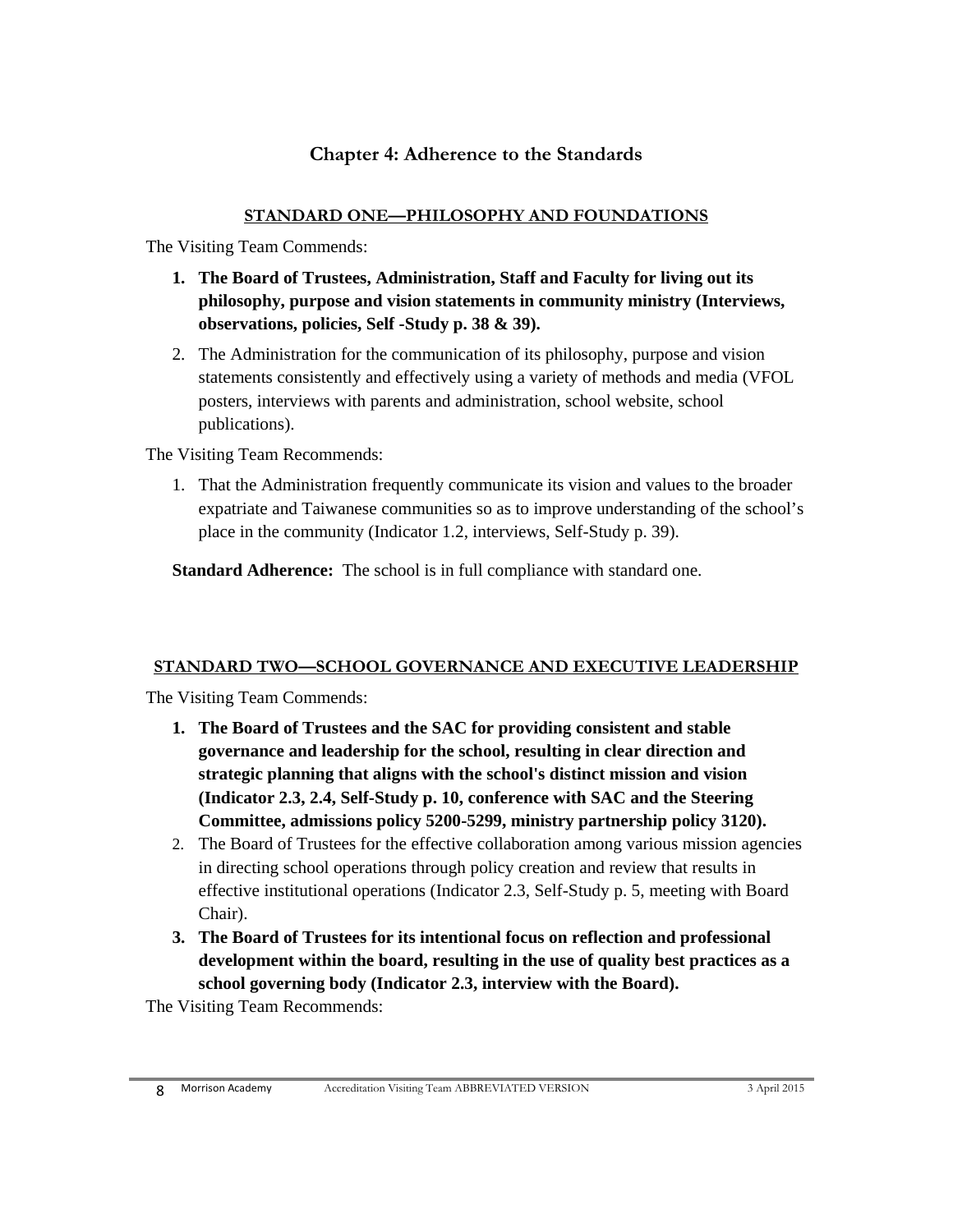#### **Chapter 4: Adherence to the Standards**

#### **STANDARD ONE—PHILOSOPHY AND FOUNDATIONS**

The Visiting Team Commends:

- **1. The Board of Trustees, Administration, Staff and Faculty for living out its philosophy, purpose and vision statements in community ministry (Interviews, observations, policies, Self -Study p. 38 & 39).**
- 2. The Administration for the communication of its philosophy, purpose and vision statements consistently and effectively using a variety of methods and media (VFOL posters, interviews with parents and administration, school website, school publications).

The Visiting Team Recommends:

1. That the Administration frequently communicate its vision and values to the broader expatriate and Taiwanese communities so as to improve understanding of the school's place in the community (Indicator 1.2, interviews, Self-Study p. 39).

**Standard Adherence:** The school is in full compliance with standard one.

#### **STANDARD TWO—SCHOOL GOVERNANCE AND EXECUTIVE LEADERSHIP**

The Visiting Team Commends:

- **1. The Board of Trustees and the SAC for providing consistent and stable governance and leadership for the school, resulting in clear direction and strategic planning that aligns with the school's distinct mission and vision (Indicator 2.3, 2.4, Self-Study p. 10, conference with SAC and the Steering Committee, admissions policy 5200-5299, ministry partnership policy 3120).**
- 2. The Board of Trustees for the effective collaboration among various mission agencies in directing school operations through policy creation and review that results in effective institutional operations (Indicator 2.3, Self-Study p. 5, meeting with Board Chair).
- **3. The Board of Trustees for its intentional focus on reflection and professional development within the board, resulting in the use of quality best practices as a school governing body (Indicator 2.3, interview with the Board).**

The Visiting Team Recommends: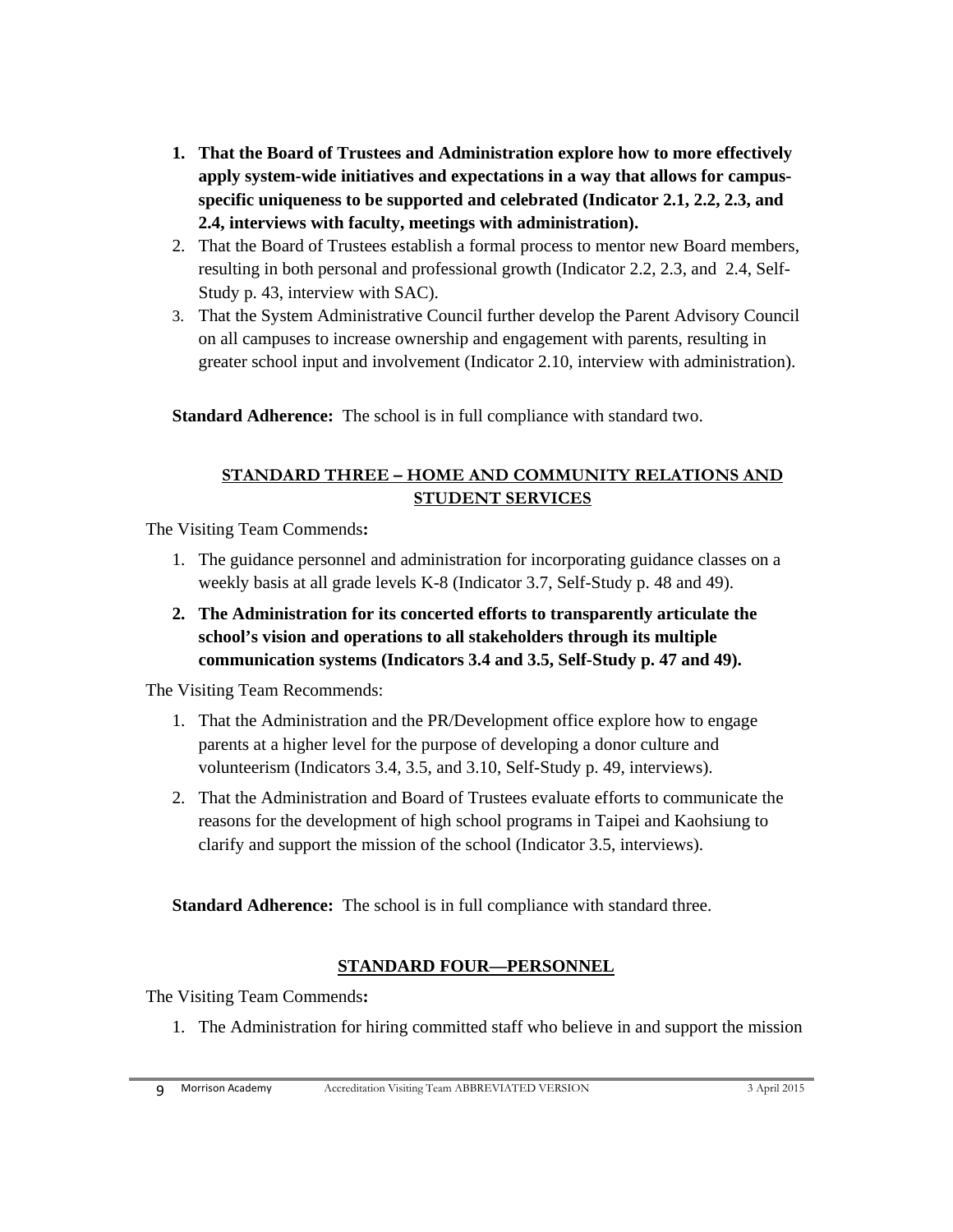- **1. That the Board of Trustees and Administration explore how to more effectively apply system-wide initiatives and expectations in a way that allows for campusspecific uniqueness to be supported and celebrated (Indicator 2.1, 2.2, 2.3, and 2.4, interviews with faculty, meetings with administration).**
- 2. That the Board of Trustees establish a formal process to mentor new Board members, resulting in both personal and professional growth (Indicator 2.2, 2.3, and 2.4, Self-Study p. 43, interview with SAC).
- 3. That the System Administrative Council further develop the Parent Advisory Council on all campuses to increase ownership and engagement with parents, resulting in greater school input and involvement (Indicator 2.10, interview with administration).

**Standard Adherence:** The school is in full compliance with standard two.

#### **STANDARD THREE – HOME AND COMMUNITY RELATIONS AND STUDENT SERVICES**

The Visiting Team Commends**:**

- 1. The guidance personnel and administration for incorporating guidance classes on a weekly basis at all grade levels K-8 (Indicator 3.7, Self-Study p. 48 and 49).
- **2. The Administration for its concerted efforts to transparently articulate the school's vision and operations to all stakeholders through its multiple communication systems (Indicators 3.4 and 3.5, Self-Study p. 47 and 49).**

The Visiting Team Recommends:

- 1. That the Administration and the PR/Development office explore how to engage parents at a higher level for the purpose of developing a donor culture and volunteerism (Indicators 3.4, 3.5, and 3.10, Self-Study p. 49, interviews).
- 2. That the Administration and Board of Trustees evaluate efforts to communicate the reasons for the development of high school programs in Taipei and Kaohsiung to clarify and support the mission of the school (Indicator 3.5, interviews).

**Standard Adherence:** The school is in full compliance with standard three.

## **STANDARD FOUR—PERSONNEL**

The Visiting Team Commends**:**

1. The Administration for hiring committed staff who believe in and support the mission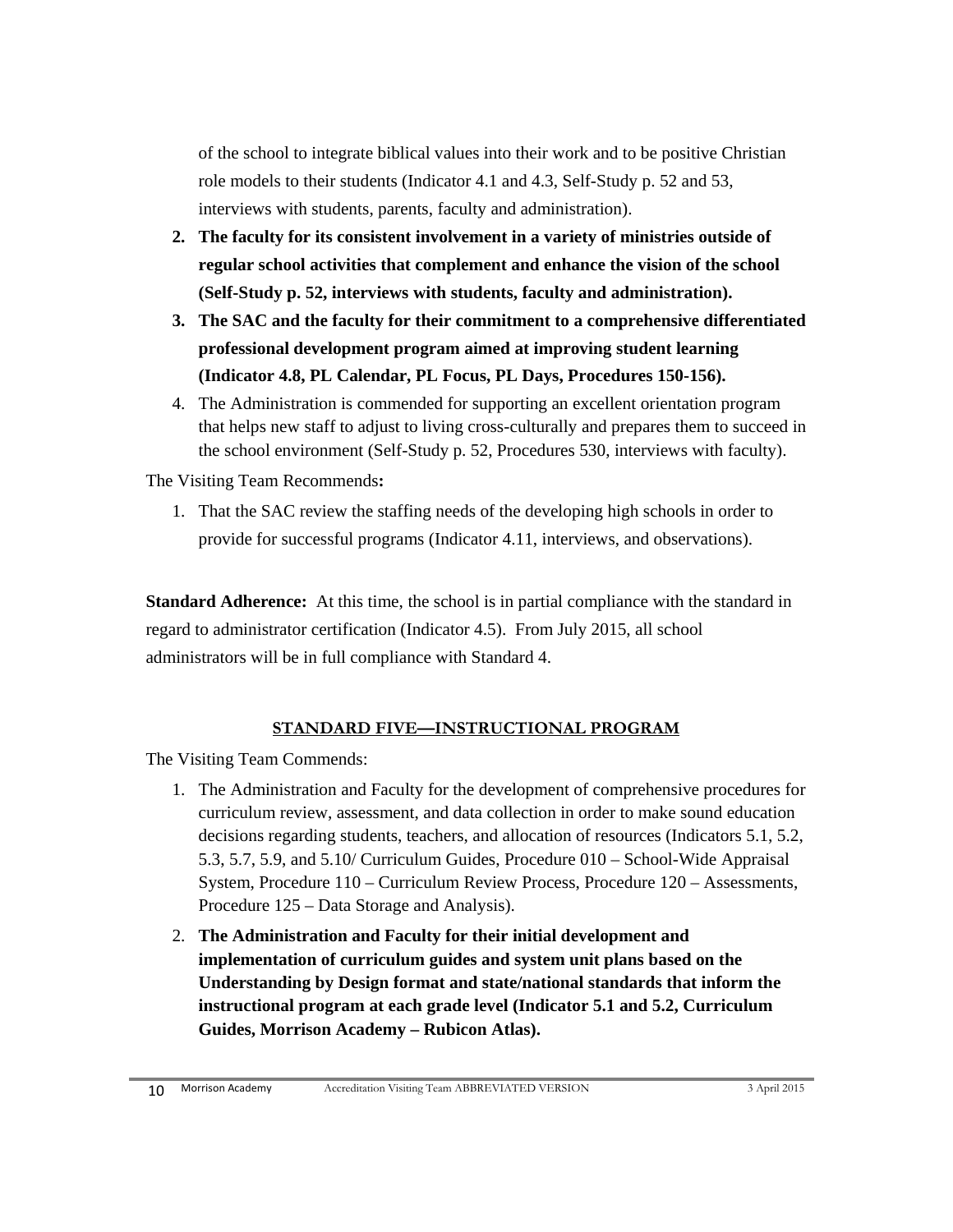of the school to integrate biblical values into their work and to be positive Christian role models to their students (Indicator 4.1 and 4.3, Self-Study p. 52 and 53, interviews with students, parents, faculty and administration).

- **2. The faculty for its consistent involvement in a variety of ministries outside of regular school activities that complement and enhance the vision of the school (Self-Study p. 52, interviews with students, faculty and administration).**
- **3. The SAC and the faculty for their commitment to a comprehensive differentiated professional development program aimed at improving student learning (Indicator 4.8, PL Calendar, PL Focus, PL Days, Procedures 150-156).**
- 4. The Administration is commended for supporting an excellent orientation program that helps new staff to adjust to living cross-culturally and prepares them to succeed in the school environment (Self-Study p. 52, Procedures 530, interviews with faculty).

The Visiting Team Recommends**:** 

1. That the SAC review the staffing needs of the developing high schools in order to provide for successful programs (Indicator 4.11, interviews, and observations).

**Standard Adherence:** At this time, the school is in partial compliance with the standard in regard to administrator certification (Indicator 4.5). From July 2015, all school administrators will be in full compliance with Standard 4.

#### **STANDARD FIVE—INSTRUCTIONAL PROGRAM**

The Visiting Team Commends:

- 1. The Administration and Faculty for the development of comprehensive procedures for curriculum review, assessment, and data collection in order to make sound education decisions regarding students, teachers, and allocation of resources (Indicators 5.1, 5.2, 5.3, 5.7, 5.9, and 5.10/ Curriculum Guides, Procedure 010 – School-Wide Appraisal System, Procedure 110 – Curriculum Review Process, Procedure 120 – Assessments, Procedure 125 – Data Storage and Analysis).
- 2. **The Administration and Faculty for their initial development and implementation of curriculum guides and system unit plans based on the Understanding by Design format and state/national standards that inform the instructional program at each grade level (Indicator 5.1 and 5.2, Curriculum Guides, Morrison Academy – Rubicon Atlas).**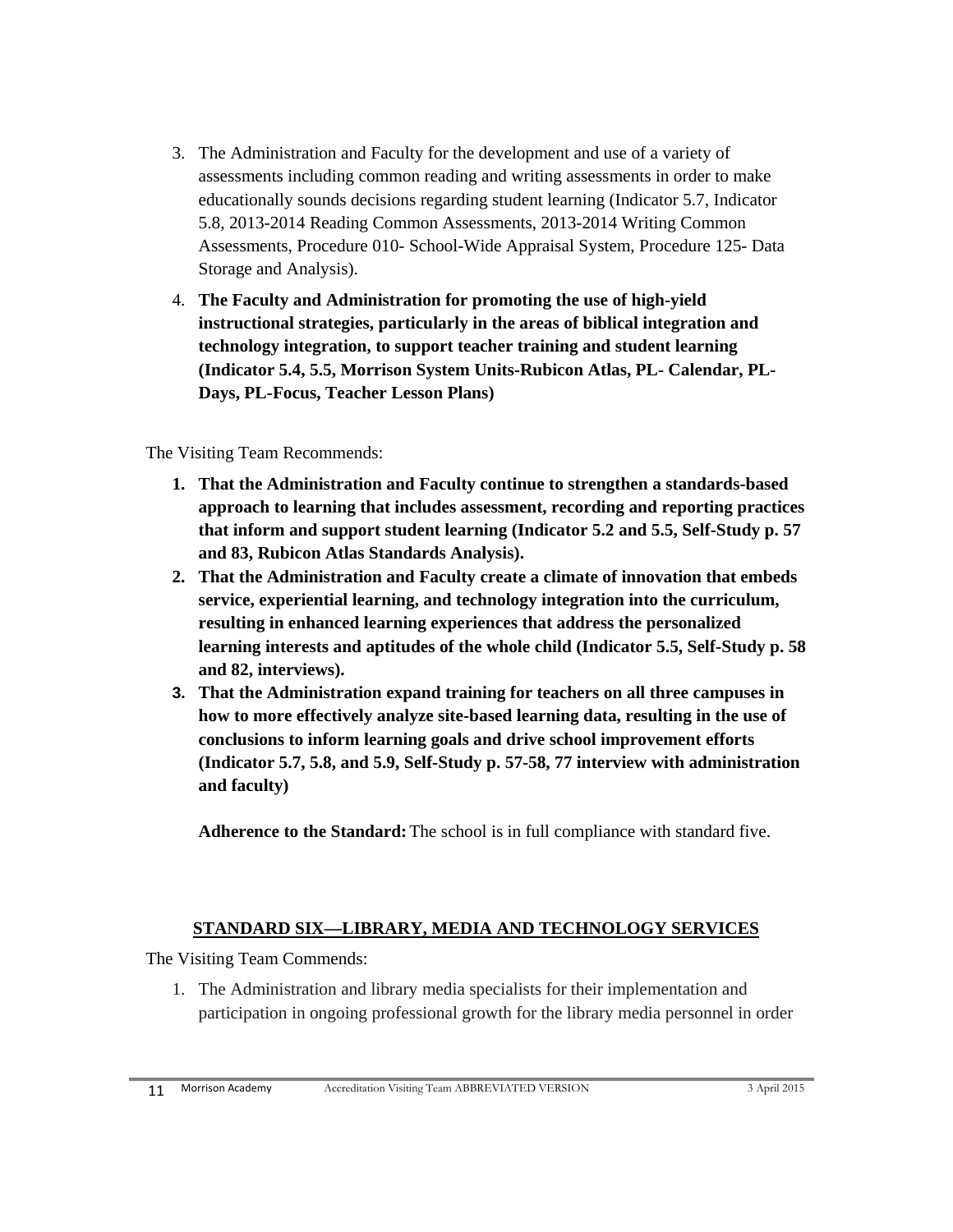- 3. The Administration and Faculty for the development and use of a variety of assessments including common reading and writing assessments in order to make educationally sounds decisions regarding student learning (Indicator 5.7, Indicator 5.8, 2013-2014 Reading Common Assessments, 2013-2014 Writing Common Assessments, Procedure 010- School-Wide Appraisal System, Procedure 125- Data Storage and Analysis).
- 4. **The Faculty and Administration for promoting the use of high-yield instructional strategies, particularly in the areas of biblical integration and technology integration, to support teacher training and student learning (Indicator 5.4, 5.5, Morrison System Units-Rubicon Atlas, PL- Calendar, PL-Days, PL-Focus, Teacher Lesson Plans)**

The Visiting Team Recommends:

- **1. That the Administration and Faculty continue to strengthen a standards-based approach to learning that includes assessment, recording and reporting practices that inform and support student learning (Indicator 5.2 and 5.5, Self-Study p. 57 and 83, Rubicon Atlas Standards Analysis).**
- **2. That the Administration and Faculty create a climate of innovation that embeds service, experiential learning, and technology integration into the curriculum, resulting in enhanced learning experiences that address the personalized learning interests and aptitudes of the whole child (Indicator 5.5, Self-Study p. 58 and 82, interviews).**
- **3. That the Administration expand training for teachers on all three campuses in how to more effectively analyze site-based learning data, resulting in the use of conclusions to inform learning goals and drive school improvement efforts (Indicator 5.7, 5.8, and 5.9, Self-Study p. 57-58, 77 interview with administration and faculty)**

**Adherence to the Standard:** The school is in full compliance with standard five.

#### **STANDARD SIX—LIBRARY, MEDIA AND TECHNOLOGY SERVICES**

The Visiting Team Commends:

1. The Administration and library media specialists for their implementation and participation in ongoing professional growth for the library media personnel in order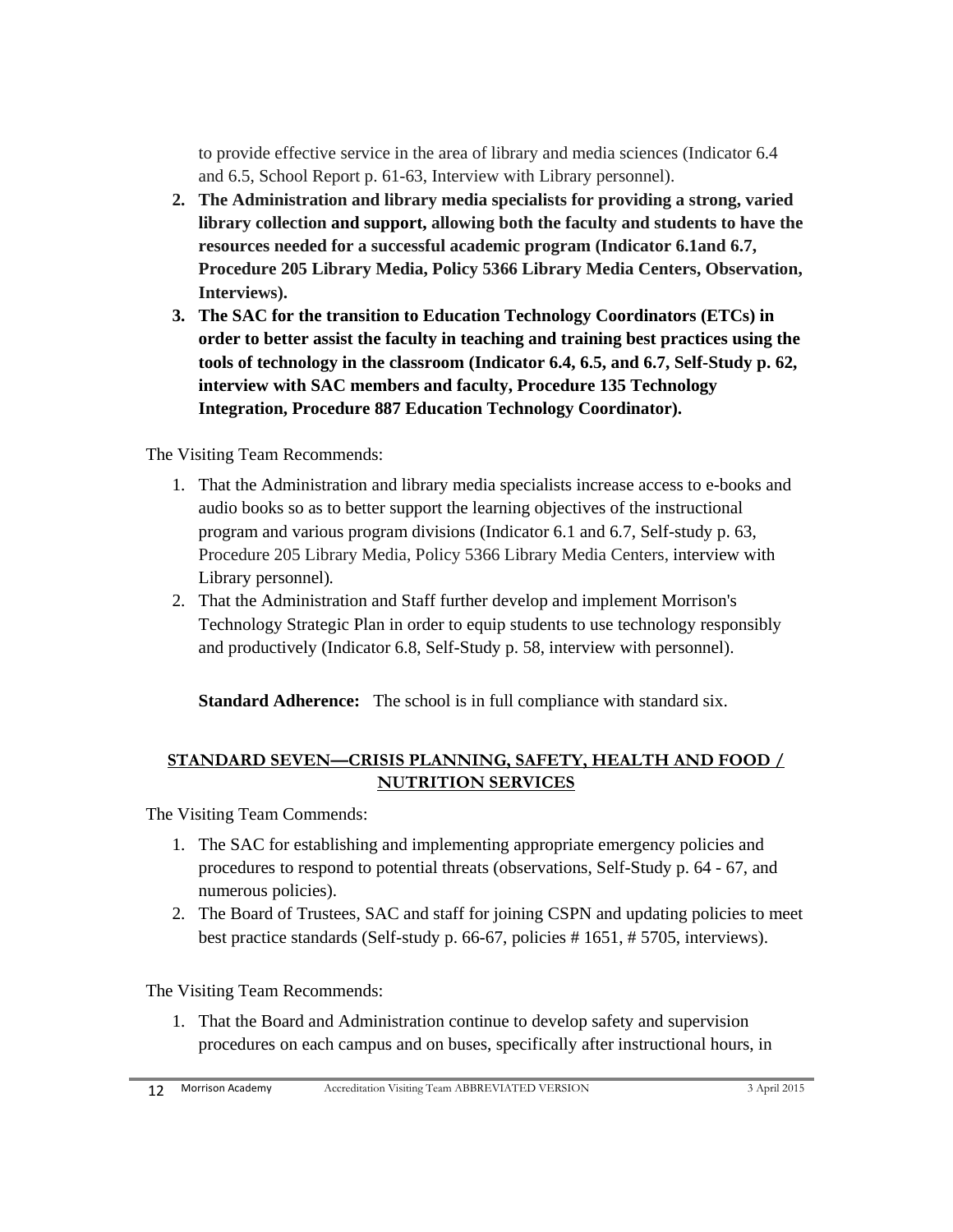to provide effective service in the area of library and media sciences (Indicator 6.4 and 6.5, School Report p. 61-63, Interview with Library personnel).

- **2. The Administration and library media specialists for providing a strong, varied library collection and support, allowing both the faculty and students to have the resources needed for a successful academic program (Indicator 6.1and 6.7, Procedure 205 Library Media, Policy 5366 Library Media Centers, Observation, Interviews).**
- **3. The SAC for the transition to Education Technology Coordinators (ETCs) in order to better assist the faculty in teaching and training best practices using the tools of technology in the classroom (Indicator 6.4, 6.5, and 6.7, Self-Study p. 62, interview with SAC members and faculty, Procedure 135 Technology Integration, Procedure 887 Education Technology Coordinator).**

The Visiting Team Recommends:

- 1. That the Administration and library media specialists increase access to e-books and audio books so as to better support the learning objectives of the instructional program and various program divisions (Indicator 6.1 and 6.7, Self-study p. 63, Procedure 205 Library Media, Policy 5366 Library Media Centers, interview with Library personnel)*.*
- 2. That the Administration and Staff further develop and implement Morrison's Technology Strategic Plan in order to equip students to use technology responsibly and productively (Indicator 6.8, Self-Study p. 58, interview with personnel).

**Standard Adherence:** The school is in full compliance with standard six.

#### **STANDARD SEVEN—CRISIS PLANNING, SAFETY, HEALTH AND FOOD / NUTRITION SERVICES**

The Visiting Team Commends:

- 1. The SAC for establishing and implementing appropriate emergency policies and procedures to respond to potential threats (observations, Self-Study p. 64 - 67, and numerous policies).
- 2. The Board of Trustees, SAC and staff for joining CSPN and updating policies to meet best practice standards (Self-study p. 66-67, policies # 1651, # 5705, interviews).

The Visiting Team Recommends:

1. That the Board and Administration continue to develop safety and supervision procedures on each campus and on buses, specifically after instructional hours, in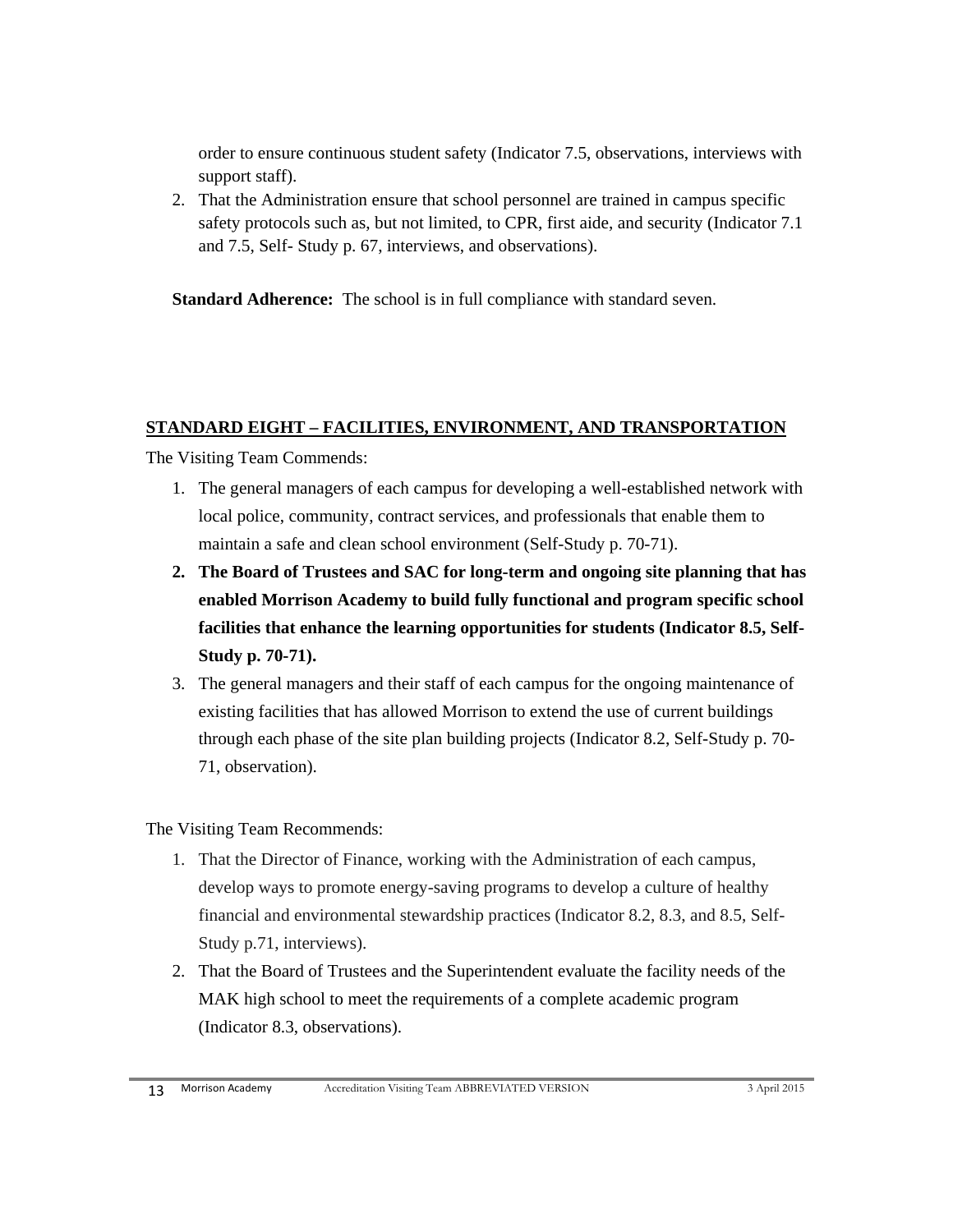order to ensure continuous student safety (Indicator 7.5, observations, interviews with support staff).

2. That the Administration ensure that school personnel are trained in campus specific safety protocols such as, but not limited, to CPR, first aide, and security (Indicator 7.1 and 7.5, Self- Study p. 67, interviews, and observations).

**Standard Adherence:** The school is in full compliance with standard seven.

#### **STANDARD EIGHT – FACILITIES, ENVIRONMENT, AND TRANSPORTATION**

The Visiting Team Commends:

- 1. The general managers of each campus for developing a well-established network with local police, community, contract services, and professionals that enable them to maintain a safe and clean school environment (Self-Study p. 70-71).
- **2. The Board of Trustees and SAC for long-term and ongoing site planning that has enabled Morrison Academy to build fully functional and program specific school facilities that enhance the learning opportunities for students (Indicator 8.5, Self-Study p. 70-71).**
- 3. The general managers and their staff of each campus for the ongoing maintenance of existing facilities that has allowed Morrison to extend the use of current buildings through each phase of the site plan building projects (Indicator 8.2, Self-Study p. 70- 71, observation).

The Visiting Team Recommends:

- 1. That the Director of Finance, working with the Administration of each campus, develop ways to promote energy-saving programs to develop a culture of healthy financial and environmental stewardship practices (Indicator 8.2, 8.3, and 8.5, Self-Study p.71, interviews).
- 2. That the Board of Trustees and the Superintendent evaluate the facility needs of the MAK high school to meet the requirements of a complete academic program (Indicator 8.3, observations).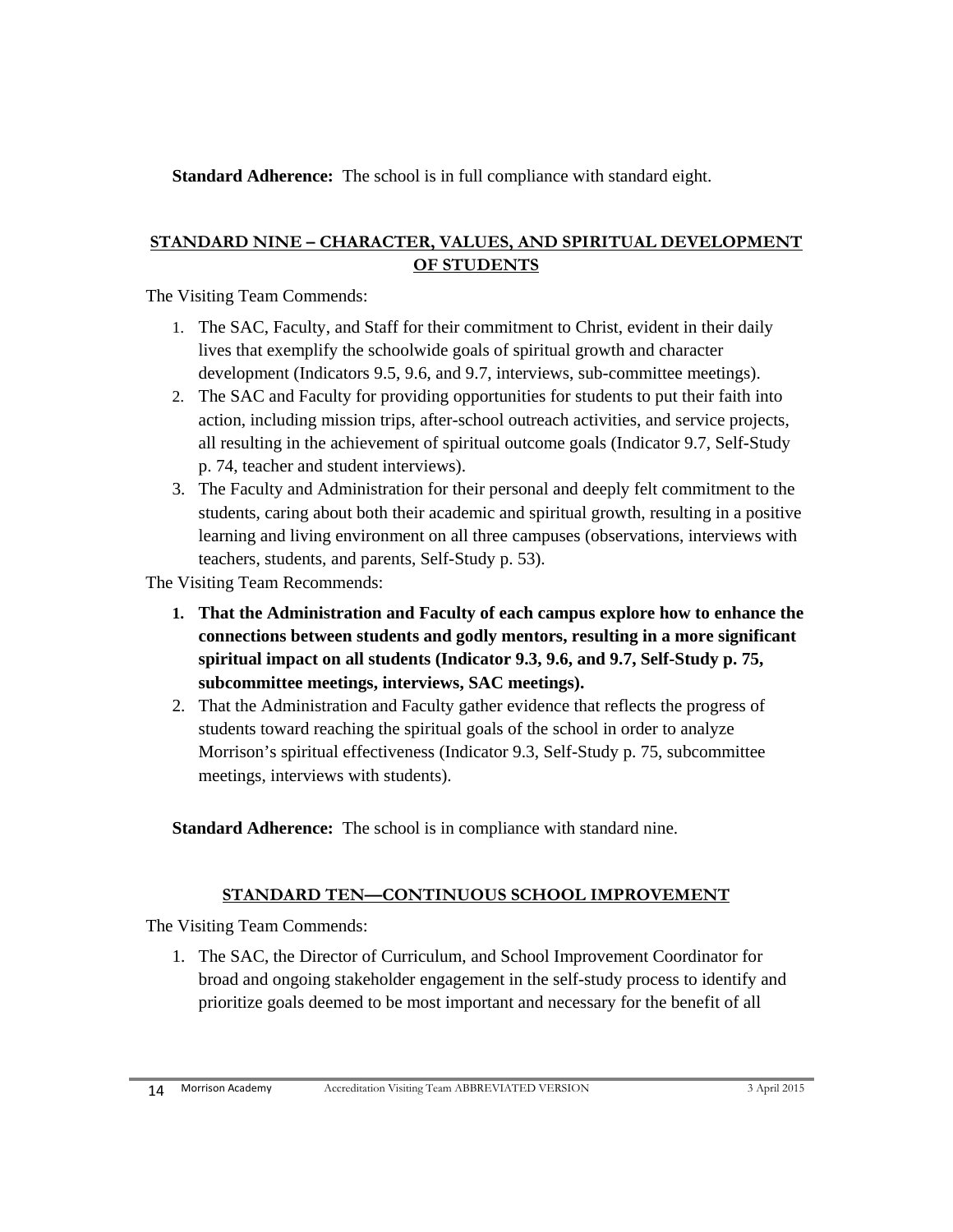**Standard Adherence:** The school is in full compliance with standard eight.

#### **STANDARD NINE – CHARACTER, VALUES, AND SPIRITUAL DEVELOPMENT OF STUDENTS**

The Visiting Team Commends:

- 1. The SAC, Faculty, and Staff for their commitment to Christ, evident in their daily lives that exemplify the schoolwide goals of spiritual growth and character development (Indicators 9.5, 9.6, and 9.7, interviews, sub-committee meetings).
- 2. The SAC and Faculty for providing opportunities for students to put their faith into action, including mission trips, after-school outreach activities, and service projects, all resulting in the achievement of spiritual outcome goals (Indicator 9.7, Self-Study p. 74, teacher and student interviews).
- 3. The Faculty and Administration for their personal and deeply felt commitment to the students, caring about both their academic and spiritual growth, resulting in a positive learning and living environment on all three campuses (observations, interviews with teachers, students, and parents, Self-Study p. 53).

The Visiting Team Recommends:

- **1. That the Administration and Faculty of each campus explore how to enhance the connections between students and godly mentors, resulting in a more significant spiritual impact on all students (Indicator 9.3, 9.6, and 9.7, Self-Study p. 75, subcommittee meetings, interviews, SAC meetings).**
- 2. That the Administration and Faculty gather evidence that reflects the progress of students toward reaching the spiritual goals of the school in order to analyze Morrison's spiritual effectiveness (Indicator 9.3, Self-Study p. 75, subcommittee meetings, interviews with students).

**Standard Adherence:** The school is in compliance with standard nine.

#### **STANDARD TEN—CONTINUOUS SCHOOL IMPROVEMENT**

The Visiting Team Commends:

1. The SAC, the Director of Curriculum, and School Improvement Coordinator for broad and ongoing stakeholder engagement in the self-study process to identify and prioritize goals deemed to be most important and necessary for the benefit of all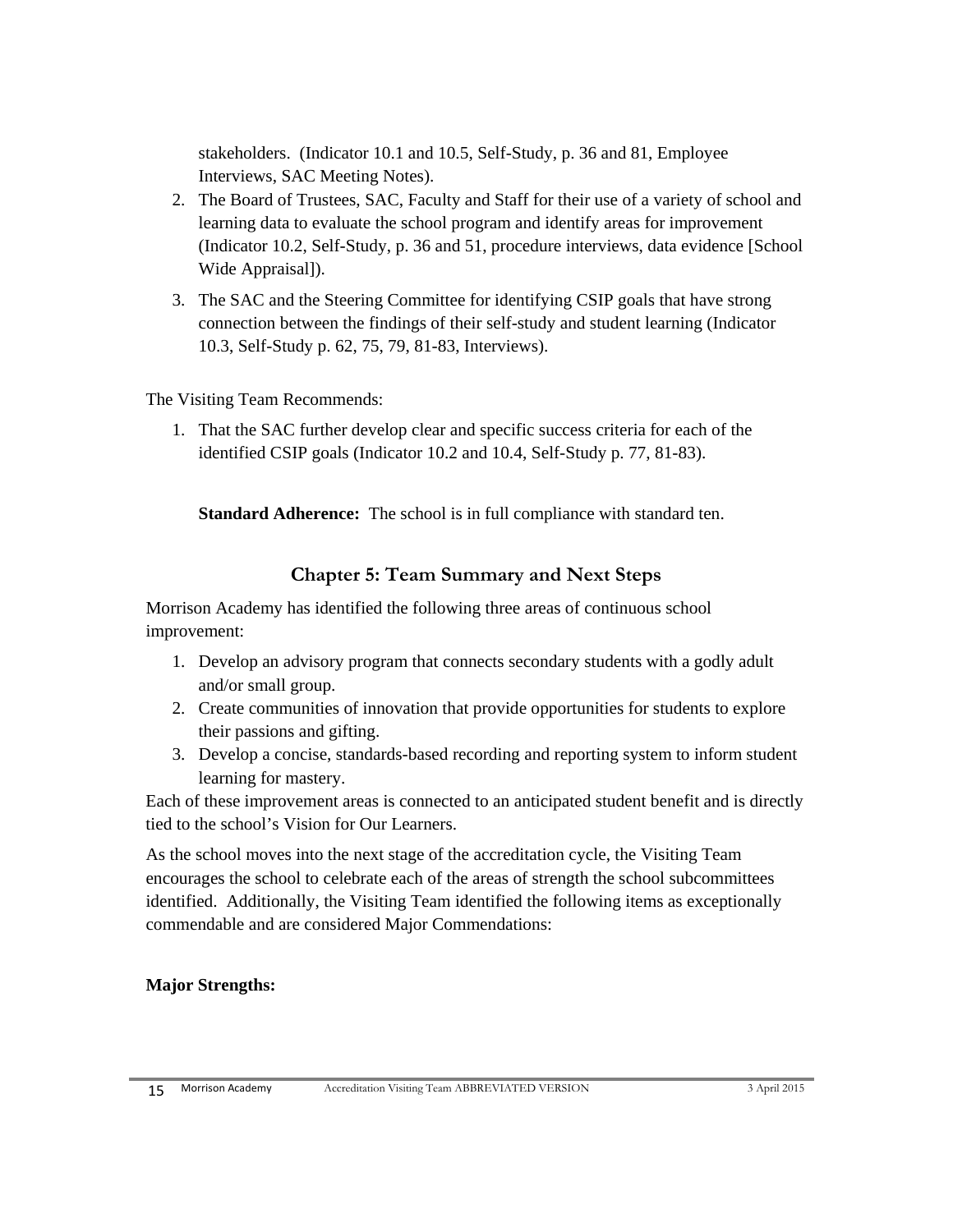stakeholders. (Indicator 10.1 and 10.5, Self-Study, p. 36 and 81, Employee Interviews, SAC Meeting Notes).

- 2. The Board of Trustees, SAC, Faculty and Staff for their use of a variety of school and learning data to evaluate the school program and identify areas for improvement (Indicator 10.2, Self-Study, p. 36 and 51, procedure interviews, data evidence [School Wide Appraisal]).
- 3. The SAC and the Steering Committee for identifying CSIP goals that have strong connection between the findings of their self-study and student learning (Indicator 10.3, Self-Study p. 62, 75, 79, 81-83, Interviews).

The Visiting Team Recommends:

1. That the SAC further develop clear and specific success criteria for each of the identified CSIP goals (Indicator 10.2 and 10.4, Self-Study p. 77, 81-83).

**Standard Adherence:** The school is in full compliance with standard ten.

# **Chapter 5: Team Summary and Next Steps**

Morrison Academy has identified the following three areas of continuous school improvement:

- 1. Develop an advisory program that connects secondary students with a godly adult and/or small group.
- 2. Create communities of innovation that provide opportunities for students to explore their passions and gifting.
- 3. Develop a concise, standards-based recording and reporting system to inform student learning for mastery.

Each of these improvement areas is connected to an anticipated student benefit and is directly tied to the school's Vision for Our Learners.

As the school moves into the next stage of the accreditation cycle, the Visiting Team encourages the school to celebrate each of the areas of strength the school subcommittees identified. Additionally, the Visiting Team identified the following items as exceptionally commendable and are considered Major Commendations:

#### **Major Strengths:**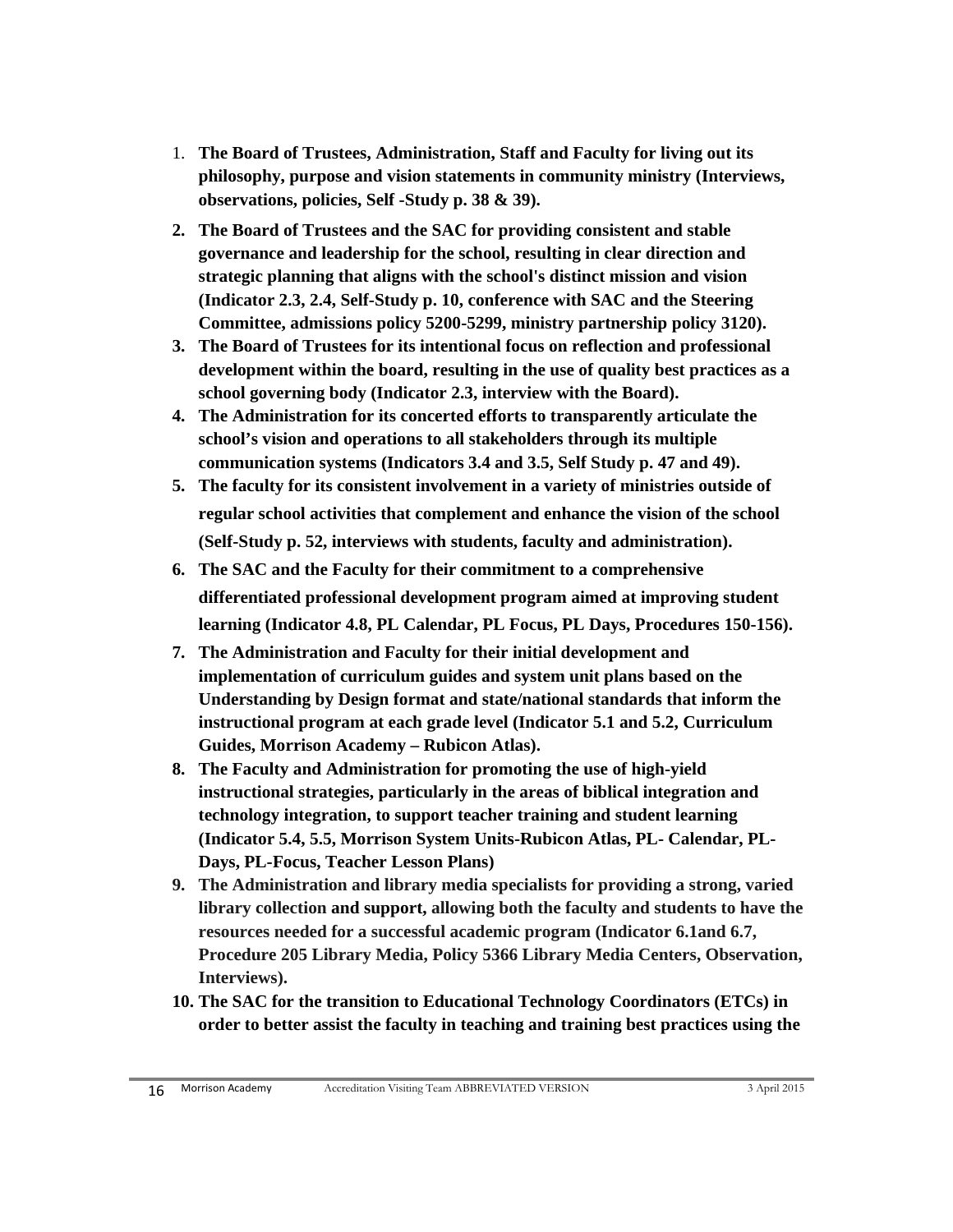- 1. **The Board of Trustees, Administration, Staff and Faculty for living out its philosophy, purpose and vision statements in community ministry (Interviews, observations, policies, Self -Study p. 38 & 39).**
- **2. The Board of Trustees and the SAC for providing consistent and stable governance and leadership for the school, resulting in clear direction and strategic planning that aligns with the school's distinct mission and vision (Indicator 2.3, 2.4, Self-Study p. 10, conference with SAC and the Steering Committee, admissions policy 5200-5299, ministry partnership policy 3120).**
- **3. The Board of Trustees for its intentional focus on reflection and professional development within the board, resulting in the use of quality best practices as a school governing body (Indicator 2.3, interview with the Board).**
- **4. The Administration for its concerted efforts to transparently articulate the school's vision and operations to all stakeholders through its multiple communication systems (Indicators 3.4 and 3.5, Self Study p. 47 and 49).**
- **5. The faculty for its consistent involvement in a variety of ministries outside of regular school activities that complement and enhance the vision of the school (Self-Study p. 52, interviews with students, faculty and administration).**
- **6. The SAC and the Faculty for their commitment to a comprehensive differentiated professional development program aimed at improving student learning (Indicator 4.8, PL Calendar, PL Focus, PL Days, Procedures 150-156).**
- **7. The Administration and Faculty for their initial development and implementation of curriculum guides and system unit plans based on the Understanding by Design format and state/national standards that inform the instructional program at each grade level (Indicator 5.1 and 5.2, Curriculum Guides, Morrison Academy – Rubicon Atlas).**
- **8. The Faculty and Administration for promoting the use of high-yield instructional strategies, particularly in the areas of biblical integration and technology integration, to support teacher training and student learning (Indicator 5.4, 5.5, Morrison System Units-Rubicon Atlas, PL- Calendar, PL-Days, PL-Focus, Teacher Lesson Plans)**
- **9. The Administration and library media specialists for providing a strong, varied library collection and support, allowing both the faculty and students to have the resources needed for a successful academic program (Indicator 6.1and 6.7, Procedure 205 Library Media, Policy 5366 Library Media Centers, Observation, Interviews).**
- **10. The SAC for the transition to Educational Technology Coordinators (ETCs) in order to better assist the faculty in teaching and training best practices using the**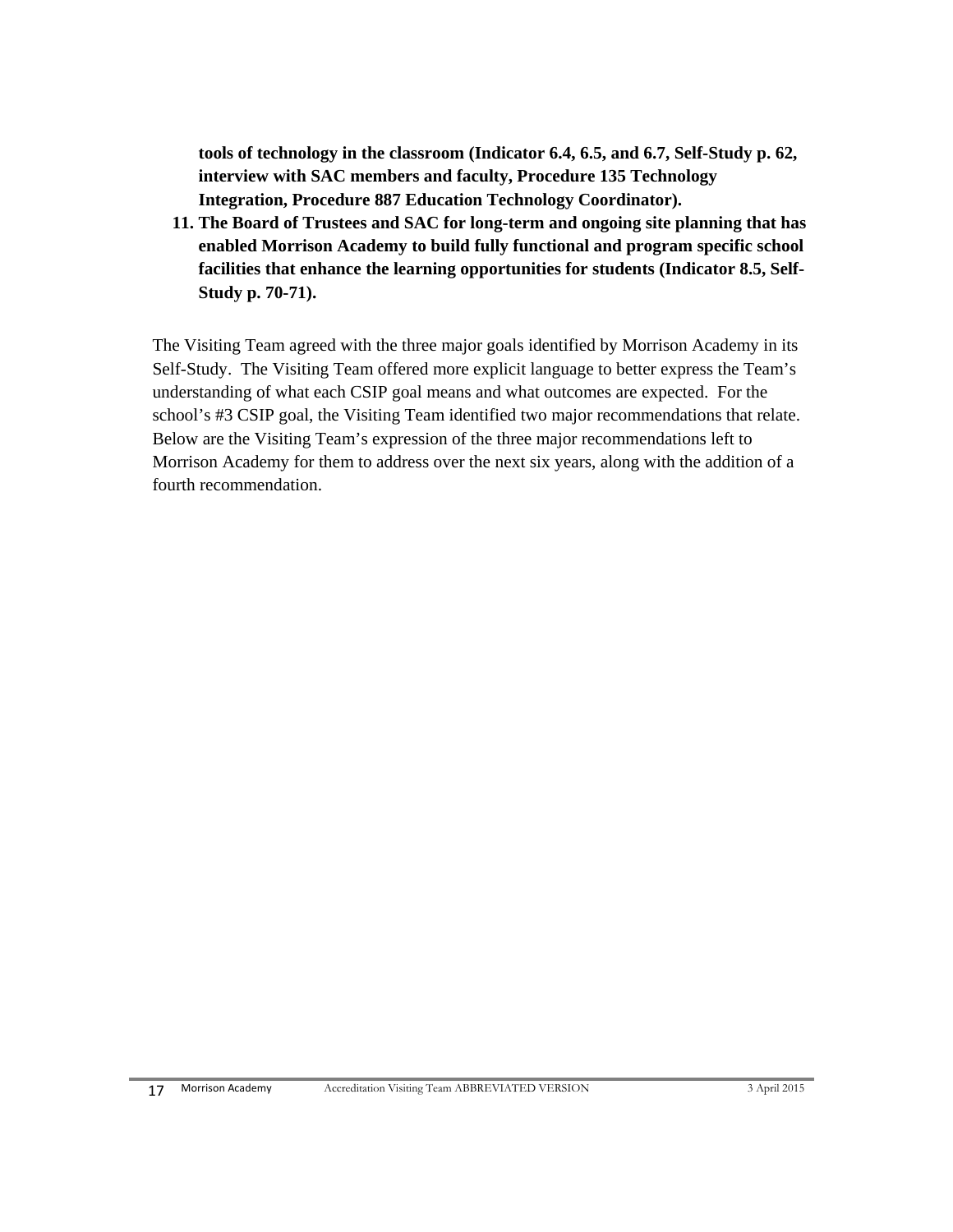**tools of technology in the classroom (Indicator 6.4, 6.5, and 6.7, Self-Study p. 62, interview with SAC members and faculty, Procedure 135 Technology Integration, Procedure 887 Education Technology Coordinator).** 

**11. The Board of Trustees and SAC for long-term and ongoing site planning that has enabled Morrison Academy to build fully functional and program specific school facilities that enhance the learning opportunities for students (Indicator 8.5, Self-Study p. 70-71).** 

The Visiting Team agreed with the three major goals identified by Morrison Academy in its Self-Study. The Visiting Team offered more explicit language to better express the Team's understanding of what each CSIP goal means and what outcomes are expected. For the school's #3 CSIP goal, the Visiting Team identified two major recommendations that relate. Below are the Visiting Team's expression of the three major recommendations left to Morrison Academy for them to address over the next six years, along with the addition of a fourth recommendation.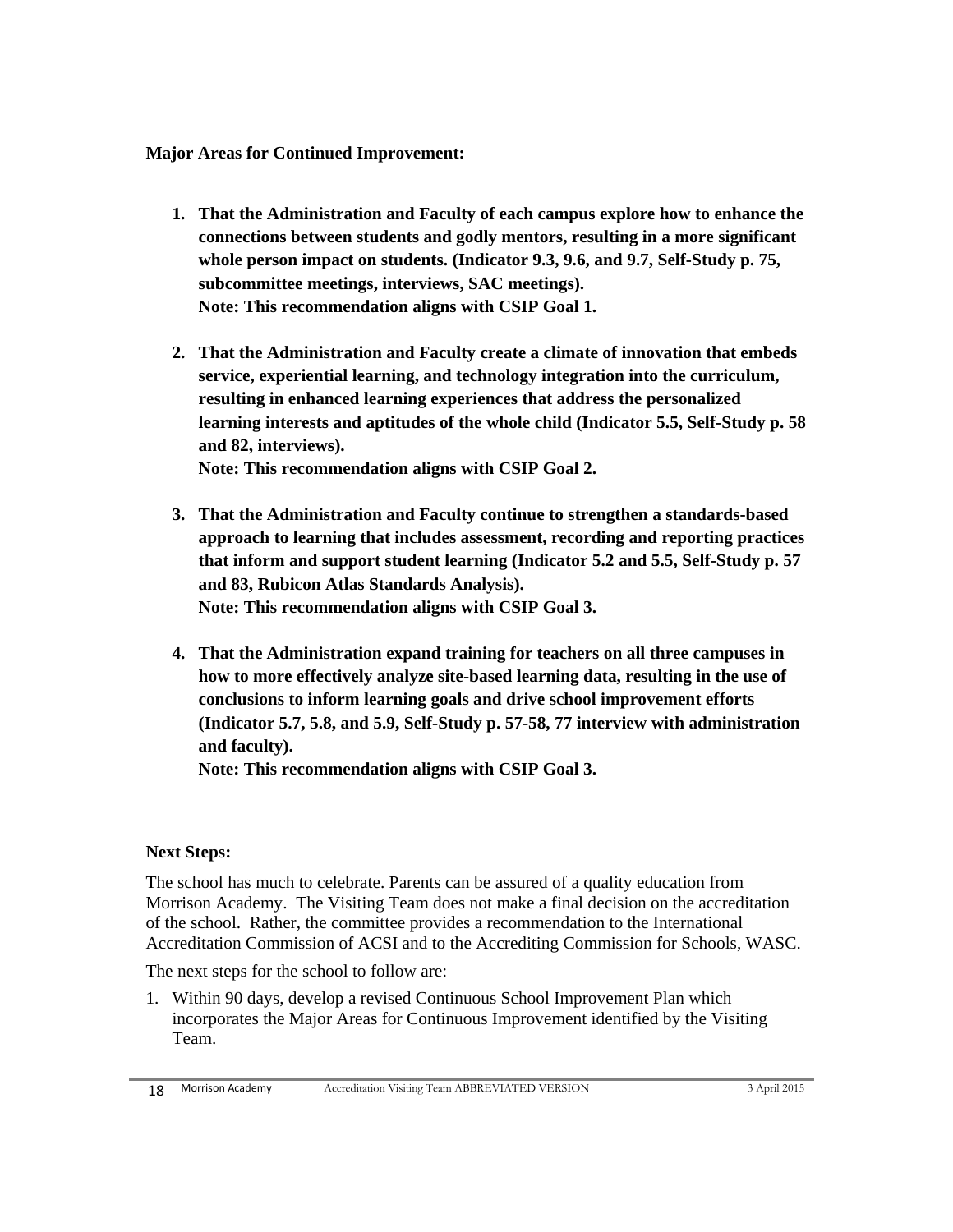**Major Areas for Continued Improvement:**

- **1. That the Administration and Faculty of each campus explore how to enhance the connections between students and godly mentors, resulting in a more significant whole person impact on students. (Indicator 9.3, 9.6, and 9.7, Self-Study p. 75, subcommittee meetings, interviews, SAC meetings). Note: This recommendation aligns with CSIP Goal 1.**
- **2. That the Administration and Faculty create a climate of innovation that embeds service, experiential learning, and technology integration into the curriculum, resulting in enhanced learning experiences that address the personalized learning interests and aptitudes of the whole child (Indicator 5.5, Self-Study p. 58 and 82, interviews). Note: This recommendation aligns with CSIP Goal 2.**

**3. That the Administration and Faculty continue to strengthen a standards-based approach to learning that includes assessment, recording and reporting practices that inform and support student learning (Indicator 5.2 and 5.5, Self-Study p. 57** 

**Note: This recommendation aligns with CSIP Goal 3.**

**and 83, Rubicon Atlas Standards Analysis).** 

**4. That the Administration expand training for teachers on all three campuses in how to more effectively analyze site-based learning data, resulting in the use of conclusions to inform learning goals and drive school improvement efforts (Indicator 5.7, 5.8, and 5.9, Self-Study p. 57-58, 77 interview with administration and faculty).** 

**Note: This recommendation aligns with CSIP Goal 3.**

#### **Next Steps:**

The school has much to celebrate. Parents can be assured of a quality education from Morrison Academy. The Visiting Team does not make a final decision on the accreditation of the school. Rather, the committee provides a recommendation to the International Accreditation Commission of ACSI and to the Accrediting Commission for Schools, WASC.

The next steps for the school to follow are:

1. Within 90 days, develop a revised Continuous School Improvement Plan which incorporates the Major Areas for Continuous Improvement identified by the Visiting Team.